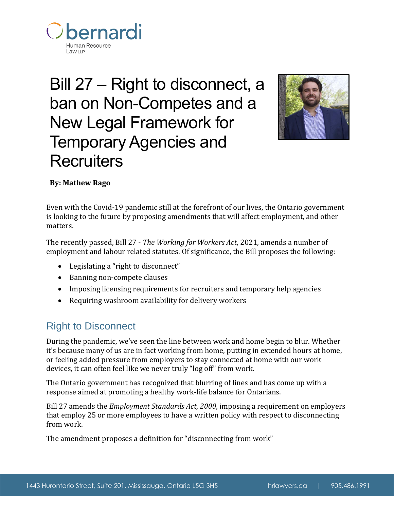

# Bill 27 – Right to disconnect, a ban on Non-Competes and a New Legal Framework for Temporary Agencies and **Recruiters**



# **By: Mathew Rago**

Even with the Covid-19 pandemic still at the forefront of our lives, the Ontario government is looking to the future by proposing amendments that will affect employment, and other matters.

The recently passed, Bill 27 - *The Working for Workers Act*, 2021, amends a number of employment and labour related statutes. Of significance, the Bill proposes the following:

- Legislating a "right to disconnect"
- Banning non-compete clauses
- Imposing licensing requirements for recruiters and temporary help agencies
- Requiring washroom availability for delivery workers

# Right to Disconnect

During the pandemic, we've seen the line between work and home begin to blur. Whether it's because many of us are in fact working from home, putting in extended hours at home, or feeling added pressure from employers to stay connected at home with our work devices, it can often feel like we never truly "log off" from work.

The Ontario government has recognized that blurring of lines and has come up with a response aimed at promoting a healthy work-life balance for Ontarians.

Bill 27 amends the *Employment Standards Act*, *2000*, imposing a requirement on employers that employ 25 or more employees to have a written policy with respect to disconnecting from work.

The amendment proposes a definition for "disconnecting from work"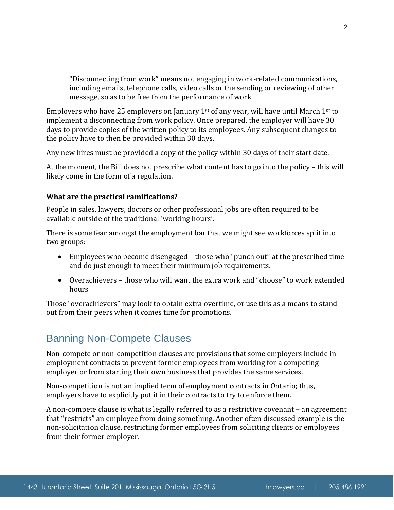"Disconnecting from work" means not engaging in work-related communications, including emails, telephone calls, video calls or the sending or reviewing of other message, so as to be free from the performance of work

Employers who have 25 employers on January 1<sup>st</sup> of any year, will have until March 1<sup>st</sup> to implement a disconnecting from work policy. Once prepared, the employer will have 30 days to provide copies of the written policy to its employees. Any subsequent changes to the policy have to then be provided within 30 days.

Any new hires must be provided a copy of the policy within 30 days of their start date.

At the moment, the Bill does not prescribe what content has to go into the policy – this will likely come in the form of a regulation.

## **What are the practical ramifications?**

People in sales, lawyers, doctors or other professional jobs are often required to be available outside of the traditional 'working hours'.

There is some fear amongst the employment bar that we might see workforces split into two groups:

- Employees who become disengaged those who "punch out" at the prescribed time and do just enough to meet their minimum job requirements.
- Overachievers those who will want the extra work and "choose" to work extended hours

Those "overachievers" may look to obtain extra overtime, or use this as a means to stand out from their peers when it comes time for promotions.

# Banning Non-Compete Clauses

Non-compete or non-competition clauses are provisions that some employers include in employment contracts to prevent former employees from working for a competing employer or from starting their own business that provides the same services.

Non-competition is not an implied term of employment contracts in Ontario; thus, employers have to explicitly put it in their contracts to try to enforce them.

A non-compete clause is what is legally referred to as a restrictive covenant – an agreement that "restricts" an employee from doing something. Another often discussed example is the non-solicitation clause, restricting former employees from soliciting clients or employees from their former employer.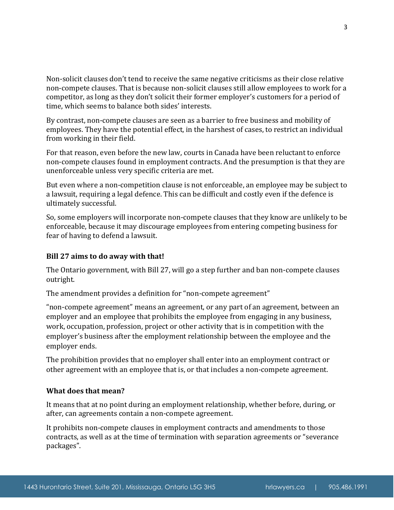Non-solicit clauses don't tend to receive the same negative criticisms as their close relative non-compete clauses. That is because non-solicit clauses still allow employees to work for a competitor, as long as they don't solicit their former employer's customers for a period of time, which seems to balance both sides' interests.

By contrast, non-compete clauses are seen as a barrier to free business and mobility of employees. They have the potential effect, in the harshest of cases, to restrict an individual from working in their field.

For that reason, even before the new law, courts in Canada have been reluctant to enforce non-compete clauses found in employment contracts. And the presumption is that they are unenforceable unless very specific criteria are met.

But even where a non-competition clause is not enforceable, an employee may be subject to a lawsuit, requiring a legal defence. This can be difficult and costly even if the defence is ultimately successful.

So, some employers will incorporate non-compete clauses that they know are unlikely to be enforceable, because it may discourage employees from entering competing business for fear of having to defend a lawsuit.

## **Bill 27 aims to do away with that!**

The Ontario government, with Bill 27, will go a step further and ban non-compete clauses outright.

The amendment provides a definition for "non-compete agreement"

"non-compete agreement" means an agreement, or any part of an agreement, between an employer and an employee that prohibits the employee from engaging in any business, work, occupation, profession, project or other activity that is in competition with the employer's business after the employment relationship between the employee and the employer ends.

The prohibition provides that no employer shall enter into an employment contract or other agreement with an employee that is, or that includes a non-compete agreement.

#### **What does that mean?**

It means that at no point during an employment relationship, whether before, during, or after, can agreements contain a non-compete agreement.

It prohibits non-compete clauses in employment contracts and amendments to those contracts, as well as at the time of termination with separation agreements or "severance packages".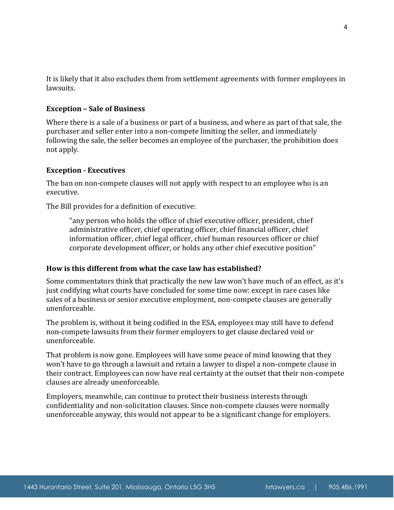It is likely that it also excludes them from settlement agreements with former employees in lawsuits.

#### **Exception – Sale of Business**

Where there is a sale of a business or part of a business, and where as part of that sale, the purchaser and seller enter into a non-compete limiting the seller, and immediately following the sale, the seller becomes an employee of the purchaser, the prohibition does not apply.

#### **Exception - Executives**

The ban on non-compete clauses will not apply with respect to an employee who is an executive.

The Bill provides for a definition of executive:

"any person who holds the office of chief executive officer, president, chief administrative officer, chief operating officer, chief financial officer, chief information officer, chief legal officer, chief human resources officer or chief corporate development officer, or holds any other chief executive position"

#### **How is this different from what the case law has established?**

Some commentators think that practically the new law won't have much of an effect, as it's just codifying what courts have concluded for some time now: except in rare cases like sales of a business or senior executive employment, non-compete clauses are generally unenforceable.

The problem is, without it being codified in the ESA, employees may still have to defend non-compete lawsuits from their former employers to get clause declared void or unenforceable.

That problem is now gone. Employees will have some peace of mind knowing that they won't have to go through a lawsuit and retain a lawyer to dispel a non-compete clause in their contract. Employees can now have real certainty at the outset that their non-compete clauses are already unenforceable.

Employers, meanwhile, can continue to protect their business interests through confidentiality and non-solicitation clauses. Since non-compete clauses were normally unenforceable anyway, this would not appear to be a significant change for employers.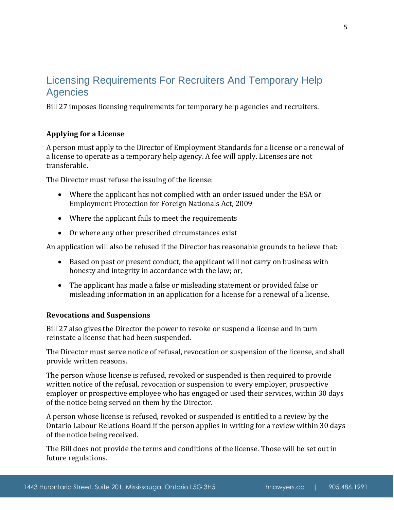# Licensing Requirements For Recruiters And Temporary Help Agencies

Bill 27 imposes licensing requirements for temporary help agencies and recruiters.

## **Applying for a License**

A person must apply to the Director of Employment Standards for a license or a renewal of a license to operate as a temporary help agency. A fee will apply. Licenses are not transferable.

The Director must refuse the issuing of the license:

- Where the applicant has not complied with an order issued under the ESA or Employment Protection for Foreign Nationals Act, 2009
- Where the applicant fails to meet the requirements
- Or where any other prescribed circumstances exist

An application will also be refused if the Director has reasonable grounds to believe that:

- Based on past or present conduct, the applicant will not carry on business with honesty and integrity in accordance with the law; or,
- The applicant has made a false or misleading statement or provided false or misleading information in an application for a license for a renewal of a license.

## **Revocations and Suspensions**

Bill 27 also gives the Director the power to revoke or suspend a license and in turn reinstate a license that had been suspended.

The Director must serve notice of refusal, revocation or suspension of the license, and shall provide written reasons.

The person whose license is refused, revoked or suspended is then required to provide written notice of the refusal, revocation or suspension to every employer, prospective employer or prospective employee who has engaged or used their services, within 30 days of the notice being served on them by the Director.

A person whose license is refused, revoked or suspended is entitled to a review by the Ontario Labour Relations Board if the person applies in writing for a review within 30 days of the notice being received.

The Bill does not provide the terms and conditions of the license. Those will be set out in future regulations.